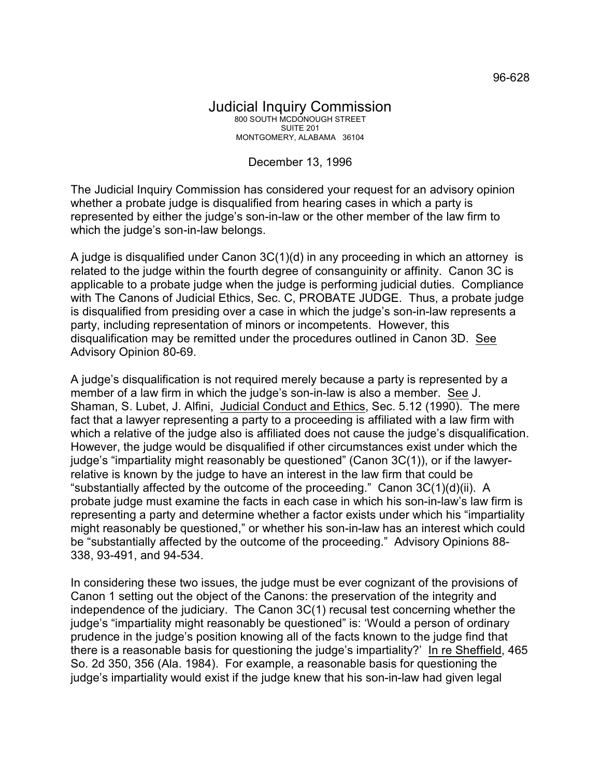## Judicial Inquiry Commission 800 SOUTH MCDONOUGH STREET SUITE 201 MONTGOMERY, ALABAMA 36104

## December 13, 1996

The Judicial Inquiry Commission has considered your request for an advisory opinion whether a probate judge is disqualified from hearing cases in which a party is represented by either the judge's son-in-law or the other member of the law firm to which the judge's son-in-law belongs.

A judge is disqualified under Canon 3C(1)(d) in any proceeding in which an attorney is related to the judge within the fourth degree of consanguinity or affinity. Canon 3C is applicable to a probate judge when the judge is performing judicial duties. Compliance with The Canons of Judicial Ethics, Sec. C, PROBATE JUDGE. Thus, a probate judge is disqualified from presiding over a case in which the judge's son-in-law represents a party, including representation of minors or incompetents. However, this disqualification may be remitted under the procedures outlined in Canon 3D. See Advisory Opinion 80-69.

A judge's disqualification is not required merely because a party is represented by a member of a law firm in which the judge's son-in-law is also a member. See J. Shaman, S. Lubet, J. Alfini, Judicial Conduct and Ethics, Sec. 5.12 (1990). The mere fact that a lawyer representing a party to a proceeding is affiliated with a law firm with which a relative of the judge also is affiliated does not cause the judge's disqualification. However, the judge would be disqualified if other circumstances exist under which the judge's "impartiality might reasonably be questioned" (Canon 3C(1)), or if the lawyerrelative is known by the judge to have an interest in the law firm that could be "substantially affected by the outcome of the proceeding." Canon 3C(1)(d)(ii). A probate judge must examine the facts in each case in which his son-in-law's law firm is representing a party and determine whether a factor exists under which his "impartiality might reasonably be questioned," or whether his son-in-law has an interest which could be "substantially affected by the outcome of the proceeding." Advisory Opinions 88- 338, 93-491, and 94-534.

In considering these two issues, the judge must be ever cognizant of the provisions of Canon 1 setting out the object of the Canons: the preservation of the integrity and independence of the judiciary. The Canon 3C(1) recusal test concerning whether the judge's "impartiality might reasonably be questioned" is: 'Would a person of ordinary prudence in the judge's position knowing all of the facts known to the judge find that there is a reasonable basis for questioning the judge's impartiality?' In re Sheffield, 465 So. 2d 350, 356 (Ala. 1984). For example, a reasonable basis for questioning the judge's impartiality would exist if the judge knew that his son-in-law had given legal